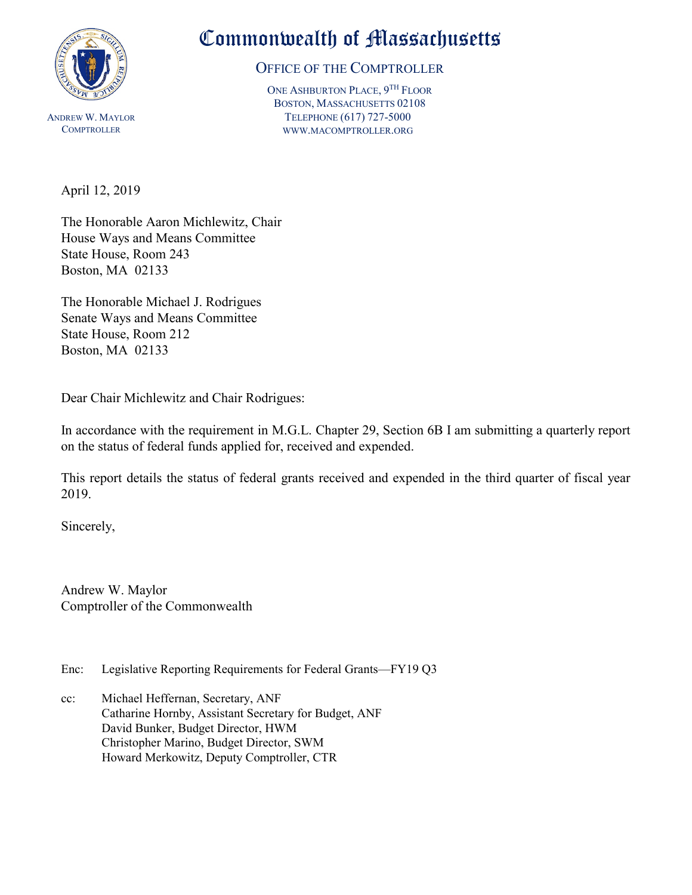

## Commonwealth of Massachusetts

OFFICE OF THE COMPTROLLER

ONE ASHBURTON PLACE, 9TH FLOOR BOSTON, MASSACHUSETTS 02108 TELEPHONE (617) 727-5000 WWW.MACOMPTROLLER.ORG

April 12, 2019

The Honorable Aaron Michlewitz, Chair House Ways and Means Committee State House, Room 243 Boston, MA 02133

The Honorable Michael J. Rodrigues Senate Ways and Means Committee State House, Room 212 Boston, MA 02133

Dear Chair Michlewitz and Chair Rodrigues:

In accordance with the requirement in M.G.L. Chapter 29, Section 6B I am submitting a quarterly report on the status of federal funds applied for, received and expended.

This report details the status of federal grants received and expended in the third quarter of fiscal year 2019.

Sincerely,

Andrew W. Maylor Comptroller of the Commonwealth

- Enc: Legislative Reporting Requirements for Federal Grants—FY19 Q3
- cc: Michael Heffernan, Secretary, ANF Catharine Hornby, Assistant Secretary for Budget, ANF David Bunker, Budget Director, HWM Christopher Marino, Budget Director, SWM Howard Merkowitz, Deputy Comptroller, CTR